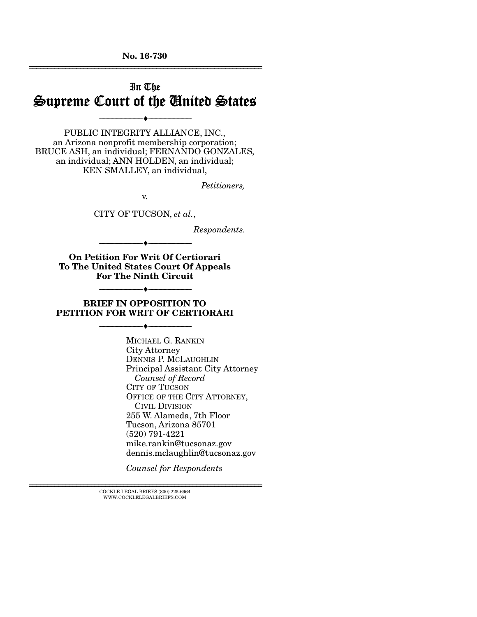No. 16-730 ================================================================

## In The Supreme Court of the United States

--------------------------------- ---------------------------------

PUBLIC INTEGRITY ALLIANCE, INC., an Arizona nonprofit membership corporation; BRUCE ASH, an individual; FERNANDO GONZALES, an individual; ANN HOLDEN, an individual; KEN SMALLEY, an individual,

*Petitioners,* 

v.

CITY OF TUCSON, *et al.*,

*Respondents.* 

On Petition For Writ Of Certiorari To The United States Court Of Appeals For The Ninth Circuit

--------------------------------- ---------------------------------

#### BRIEF IN OPPOSITION TO PETITION FOR WRIT OF CERTIORARI

--------------------------------- ---------------------------------

--------------------------------- ---------------------------------

MICHAEL G. RANKIN City Attorney DENNIS P. MCLAUGHLIN Principal Assistant City Attorney  *Counsel of Record*  CITY OF TUCSON OFFICE OF THE CITY ATTORNEY, CIVIL DIVISION 255 W. Alameda, 7th Floor Tucson, Arizona 85701 (520) 791-4221 mike.rankin@tucsonaz.gov dennis.mclaughlin@tucsonaz.gov

*Counsel for Respondents* 

 $\textsc{COCKLE}$  LEGAL BRIEFS (800) 225-6964 WWW.COCKLELEGALBRIEFS.COM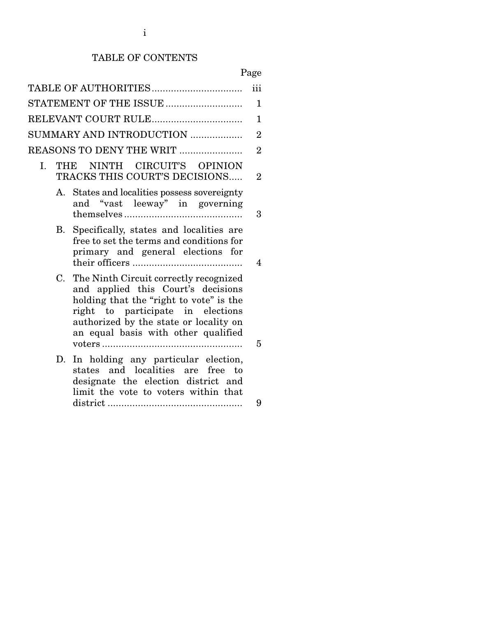# TABLE OF CONTENTS

# Page

|    |                                                                                                                                                                                                                                               | iii            |
|----|-----------------------------------------------------------------------------------------------------------------------------------------------------------------------------------------------------------------------------------------------|----------------|
|    | STATEMENT OF THE ISSUE                                                                                                                                                                                                                        | 1              |
|    | RELEVANT COURT RULE                                                                                                                                                                                                                           | $\mathbf{1}$   |
|    | SUMMARY AND INTRODUCTION                                                                                                                                                                                                                      | $\overline{2}$ |
|    | REASONS TO DENY THE WRIT                                                                                                                                                                                                                      | $\overline{2}$ |
| Ι. | NINTH CIRCUIT'S OPINION<br>THE<br>TRACKS THIS COURT'S DECISIONS                                                                                                                                                                               | $\overline{2}$ |
| А. | States and localities possess sovereignty<br>and "vast leeway" in governing                                                                                                                                                                   | 3              |
| В. | Specifically, states and localities are<br>free to set the terms and conditions for<br>primary and general elections for                                                                                                                      | 4              |
| C. | The Ninth Circuit correctly recognized<br>and applied this Court's decisions<br>holding that the "right to vote" is the<br>right to participate in elections<br>authorized by the state or locality on<br>an equal basis with other qualified | 5              |
| D. | In holding any particular election,<br>states and localities are<br>free<br>to<br>designate the election district and<br>limit the vote to voters within that                                                                                 |                |
|    |                                                                                                                                                                                                                                               | 9              |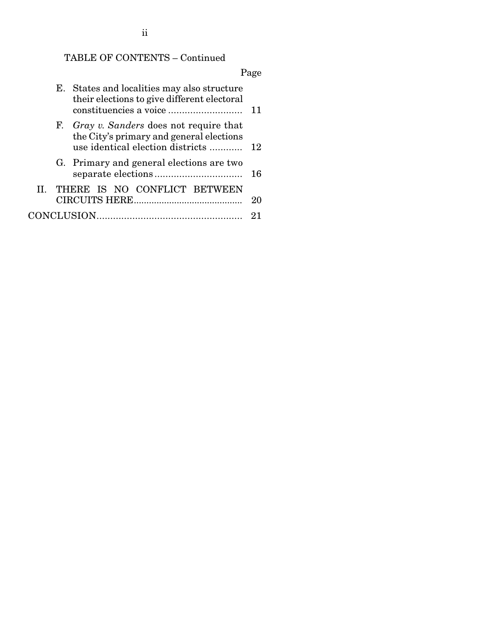ii

# TABLE OF CONTENTS – Continued

# Page

|  | E. States and localities may also structure<br>their elections to give different electoral                                   |    |
|--|------------------------------------------------------------------------------------------------------------------------------|----|
|  | F. Gray v. Sanders does not require that<br>the City's primary and general elections<br>use identical election districts  12 |    |
|  | G. Primary and general elections are two                                                                                     | 16 |
|  | II. THERE IS NO CONFLICT BETWEEN                                                                                             | 20 |
|  |                                                                                                                              |    |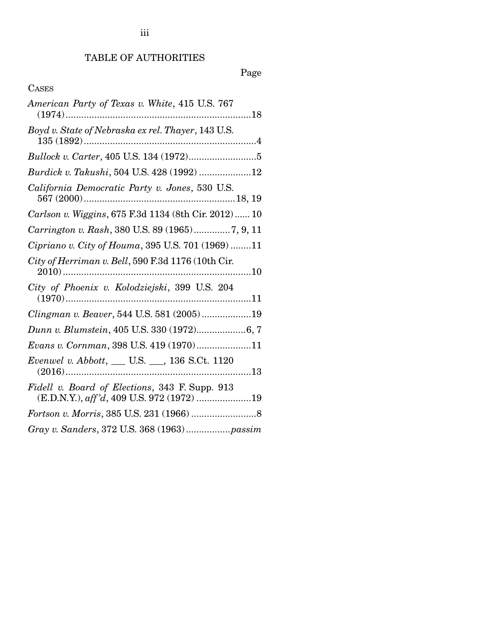## TABLE OF AUTHORITIES

Page

## CASES

| American Party of Texas v. White, 415 U.S. 767                                              |
|---------------------------------------------------------------------------------------------|
| Boyd v. State of Nebraska ex rel. Thayer, 143 U.S.                                          |
|                                                                                             |
| Burdick v. Takushi, 504 U.S. 428 (1992) 12                                                  |
| California Democratic Party v. Jones, 530 U.S.                                              |
| Carlson v. Wiggins, 675 F.3d 1134 (8th Cir. 2012)  10                                       |
| Carrington v. Rash, 380 U.S. 89 (1965)7, 9, 11                                              |
| Cipriano v. City of Houma, 395 U.S. 701 (1969)11                                            |
| City of Herriman v. Bell, 590 F.3d 1176 (10th Cir.<br>10                                    |
| City of Phoenix v. Kolodziejski, 399 U.S. 204                                               |
| Clingman v. Beaver, 544 U.S. 581 (2005)19                                                   |
|                                                                                             |
| Evans v. Cornman, 398 U.S. 419 (1970)11                                                     |
| Evenwel v. Abbott, __ U.S. __, 136 S.Ct. 1120                                               |
| Fidell v. Board of Elections, 343 F. Supp. 913<br>(E.D.N.Y.), aff'd, 409 U.S. 972 (1972) 19 |
|                                                                                             |
| Gray v. Sanders, 372 U.S. 368 (1963)passim                                                  |

iii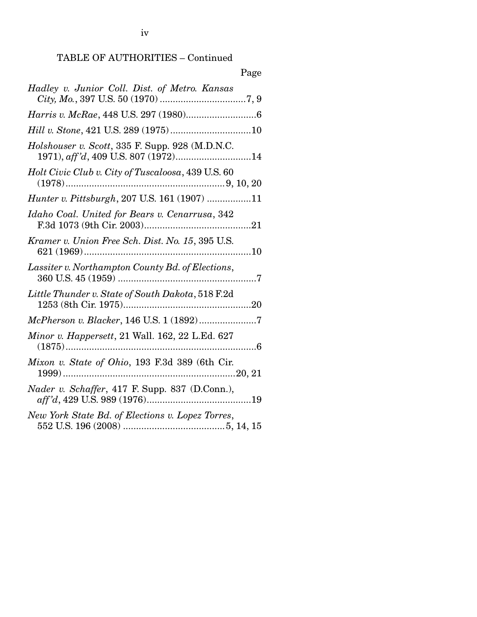## TABLE OF AUTHORITIES – Continued

# Page

| Hadley v. Junior Coll. Dist. of Metro. Kansas                                 |
|-------------------------------------------------------------------------------|
|                                                                               |
| Hill v. Stone, 421 U.S. 289 (1975)10                                          |
| Holshouser v. Scott, 335 F. Supp. 928 (M.D.N.C.                               |
| Holt Civic Club v. City of Tuscaloosa, 439 U.S. 60                            |
| <i>Hunter v. Pittsburgh</i> , 207 U.S. 161 (1907) 11                          |
| Idaho Coal. United for Bears v. Cenarrusa, 342                                |
| Kramer v. Union Free Sch. Dist. No. 15, 395 U.S.                              |
| Lassiter v. Northampton County Bd. of Elections,                              |
| Little Thunder v. State of South Dakota, 518 F.2d                             |
| McPherson v. Blacker, 146 U.S. 1 (1892)7                                      |
| <i>Minor v. Happersett, 21 Wall. 162, 22 L.Ed. 627</i>                        |
| Mixon v. State of Ohio, 193 F.3d 389 (6th Cir.                                |
| Nader v. Schaffer, 417 F. Supp. 837 (D.Conn.),                                |
| New York State Bd. of Elections v. Lopez Torres,<br>552 US 196 (2008) 5 14 15 |

552 U.S. 196 (2008) ....................................... 5, 14, 15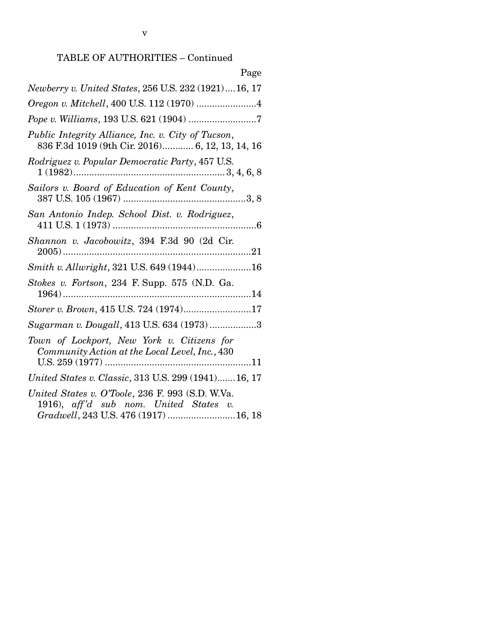| Page                                                                                                                               |
|------------------------------------------------------------------------------------------------------------------------------------|
| Newberry v. United States, 256 U.S. 232 (1921)16, 17                                                                               |
| Oregon v. Mitchell, 400 U.S. 112 (1970) 4                                                                                          |
|                                                                                                                                    |
| Public Integrity Alliance, Inc. v. City of Tucson,<br>836 F.3d 1019 (9th Cir. 2016) 6, 12, 13, 14, 16                              |
| Rodriguez v. Popular Democratic Party, 457 U.S.                                                                                    |
| Sailors v. Board of Education of Kent County,                                                                                      |
| San Antonio Indep. School Dist. v. Rodriguez,                                                                                      |
| Shannon v. Jacobowitz, 394 F.3d 90 (2d Cir.                                                                                        |
| Smith v. Allwright, 321 U.S. 649 (1944)16                                                                                          |
| Stokes v. Fortson, 234 F. Supp. 575 (N.D. Ga.                                                                                      |
| Storer v. Brown, 415 U.S. 724 (1974)17                                                                                             |
| Sugarman v. Dougall, 413 U.S. 634 (1973) 3                                                                                         |
| Town of Lockport, New York v. Citizens for<br>Community Action at the Local Level, Inc., 430                                       |
| United States v. Classic, 313 U.S. 299 (1941)16, 17                                                                                |
| United States v. O'Toole, 236 F. 993 (S.D. W.Va.<br>1916), aff'd sub nom. United States v.<br>Gradwell, 243 U.S. 476 (1917) 16, 18 |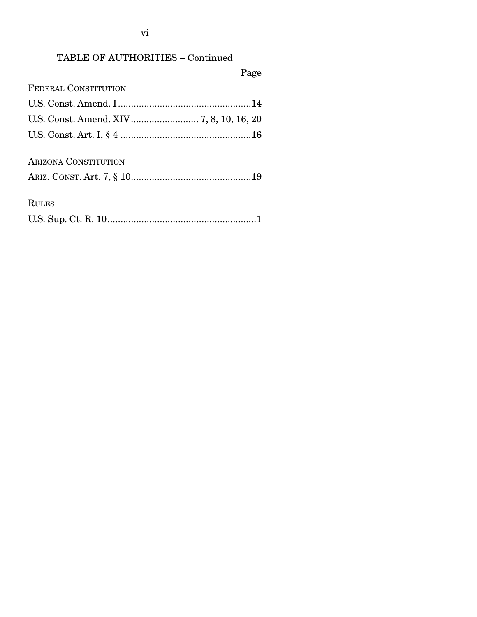vi

# TABLE OF AUTHORITIES – Continued

Page

| <b>FEDERAL CONSTITUTION</b>             |  |
|-----------------------------------------|--|
|                                         |  |
| U.S. Const. Amend. XIV 7, 8, 10, 16, 20 |  |
|                                         |  |
| <b>ARIZONA CONSTITUTION</b>             |  |

|--|--|

RULES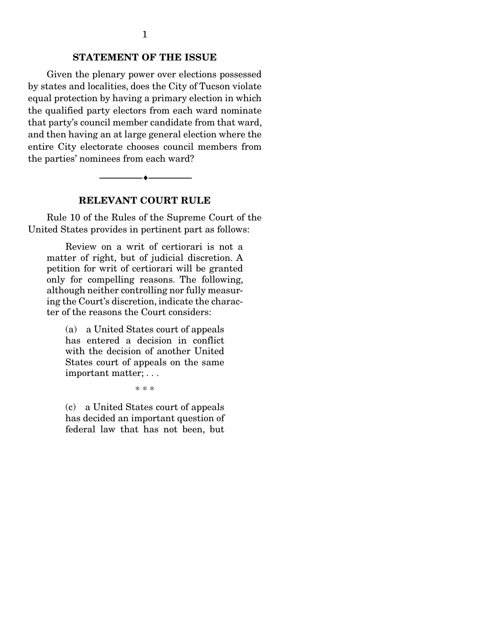### STATEMENT OF THE ISSUE

 Given the plenary power over elections possessed by states and localities, does the City of Tucson violate equal protection by having a primary election in which the qualified party electors from each ward nominate that party's council member candidate from that ward, and then having an at large general election where the entire City electorate chooses council members from the parties' nominees from each ward?

#### --------------------------------- ---------------------------------

#### RELEVANT COURT RULE

 Rule 10 of the Rules of the Supreme Court of the United States provides in pertinent part as follows:

 Review on a writ of certiorari is not a matter of right, but of judicial discretion. A petition for writ of certiorari will be granted only for compelling reasons. The following, although neither controlling nor fully measuring the Court's discretion, indicate the character of the reasons the Court considers:

(a) a United States court of appeals has entered a decision in conflict with the decision of another United States court of appeals on the same important matter; . . .

\* \* \*

(c) a United States court of appeals has decided an important question of federal law that has not been, but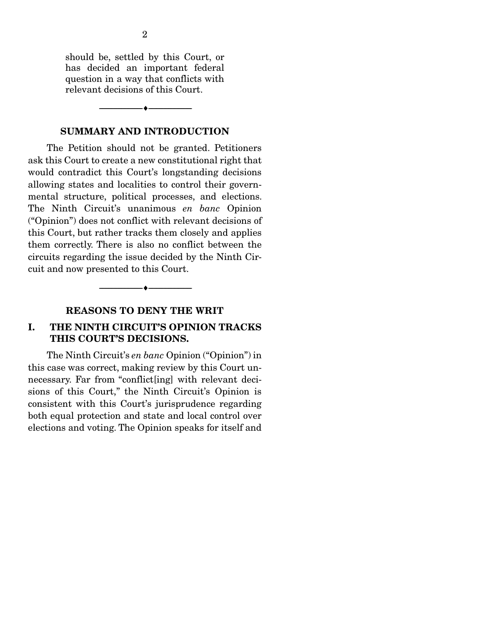should be, settled by this Court, or has decided an important federal question in a way that conflicts with relevant decisions of this Court.

#### SUMMARY AND INTRODUCTION

--------------------------------- ---------------------------------

 The Petition should not be granted. Petitioners ask this Court to create a new constitutional right that would contradict this Court's longstanding decisions allowing states and localities to control their governmental structure, political processes, and elections. The Ninth Circuit's unanimous *en banc* Opinion ("Opinion") does not conflict with relevant decisions of this Court, but rather tracks them closely and applies them correctly. There is also no conflict between the circuits regarding the issue decided by the Ninth Circuit and now presented to this Court.

### REASONS TO DENY THE WRIT

--------------------------------- ---------------------------------

### I. THE NINTH CIRCUIT'S OPINION TRACKS THIS COURT'S DECISIONS.

 The Ninth Circuit's *en banc* Opinion ("Opinion") in this case was correct, making review by this Court unnecessary. Far from "conflict[ing] with relevant decisions of this Court," the Ninth Circuit's Opinion is consistent with this Court's jurisprudence regarding both equal protection and state and local control over elections and voting. The Opinion speaks for itself and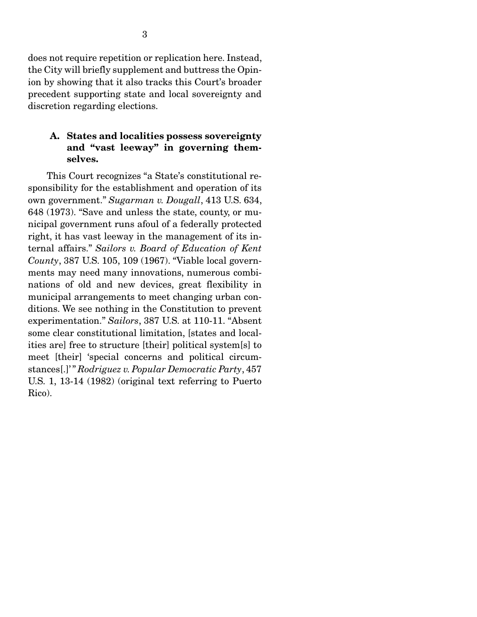does not require repetition or replication here. Instead, the City will briefly supplement and buttress the Opinion by showing that it also tracks this Court's broader precedent supporting state and local sovereignty and discretion regarding elections.

### A. States and localities possess sovereignty and "vast leeway" in governing themselves.

 This Court recognizes "a State's constitutional responsibility for the establishment and operation of its own government." *Sugarman v. Dougall*, 413 U.S. 634, 648 (1973). "Save and unless the state, county, or municipal government runs afoul of a federally protected right, it has vast leeway in the management of its internal affairs." *Sailors v. Board of Education of Kent County*, 387 U.S. 105, 109 (1967). "Viable local governments may need many innovations, numerous combinations of old and new devices, great flexibility in municipal arrangements to meet changing urban conditions. We see nothing in the Constitution to prevent experimentation." *Sailors*, 387 U.S. at 110-11. "Absent some clear constitutional limitation, [states and localities are] free to structure [their] political system[s] to meet [their] 'special concerns and political circumstances[.]' " *Rodriguez v. Popular Democratic Party*, 457 U.S. 1, 13-14 (1982) (original text referring to Puerto Rico).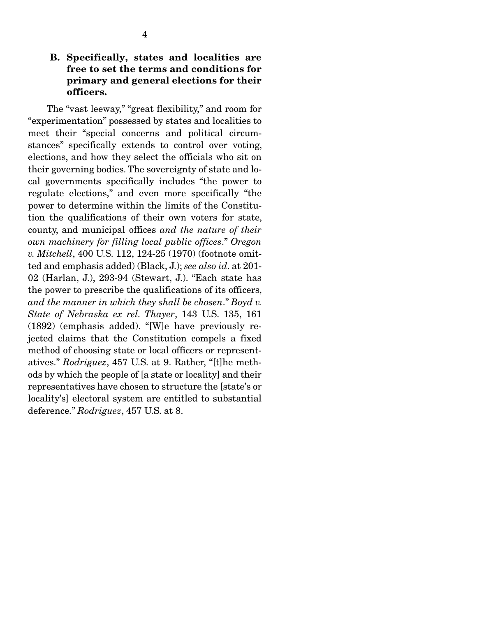## B. Specifically, states and localities are free to set the terms and conditions for primary and general elections for their officers.

 The "vast leeway," "great flexibility," and room for "experimentation" possessed by states and localities to meet their "special concerns and political circumstances" specifically extends to control over voting, elections, and how they select the officials who sit on their governing bodies. The sovereignty of state and local governments specifically includes "the power to regulate elections," and even more specifically "the power to determine within the limits of the Constitution the qualifications of their own voters for state, county, and municipal offices *and the nature of their own machinery for filling local public offices*." *Oregon v. Mitchell*, 400 U.S. 112, 124-25 (1970) (footnote omitted and emphasis added) (Black, J.); *see also id*. at 201- 02 (Harlan, J.), 293-94 (Stewart, J.). "Each state has the power to prescribe the qualifications of its officers, *and the manner in which they shall be chosen*." *Boyd v. State of Nebraska ex rel. Thayer*, 143 U.S. 135, 161 (1892) (emphasis added). "[W]e have previously rejected claims that the Constitution compels a fixed method of choosing state or local officers or representatives." *Rodriguez*, 457 U.S. at 9. Rather, "[t]he methods by which the people of [a state or locality] and their representatives have chosen to structure the [state's or locality's] electoral system are entitled to substantial deference." *Rodriguez*, 457 U.S. at 8.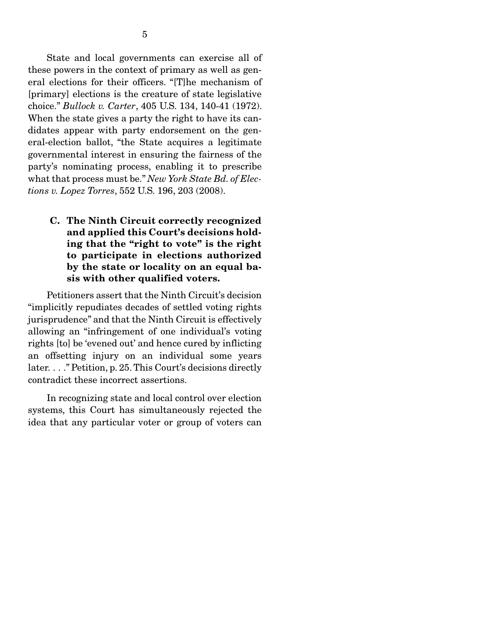State and local governments can exercise all of these powers in the context of primary as well as general elections for their officers. "[T]he mechanism of [primary] elections is the creature of state legislative choice." *Bullock v. Carter*, 405 U.S. 134, 140-41 (1972). When the state gives a party the right to have its candidates appear with party endorsement on the general-election ballot, "the State acquires a legitimate governmental interest in ensuring the fairness of the party's nominating process, enabling it to prescribe what that process must be." *New York State Bd. of Elections v. Lopez Torres*, 552 U.S. 196, 203 (2008).

C. The Ninth Circuit correctly recognized and applied this Court's decisions holding that the "right to vote" is the right to participate in elections authorized by the state or locality on an equal basis with other qualified voters.

 Petitioners assert that the Ninth Circuit's decision "implicitly repudiates decades of settled voting rights jurisprudence" and that the Ninth Circuit is effectively allowing an "infringement of one individual's voting rights [to] be 'evened out' and hence cured by inflicting an offsetting injury on an individual some years later. . . ." Petition, p. 25. This Court's decisions directly contradict these incorrect assertions.

 In recognizing state and local control over election systems, this Court has simultaneously rejected the idea that any particular voter or group of voters can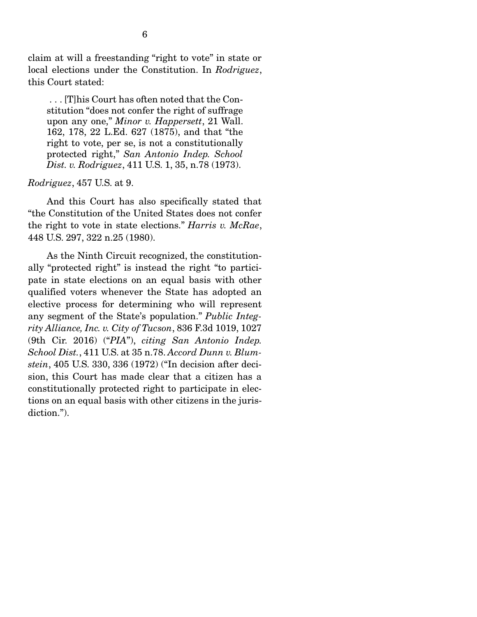claim at will a freestanding "right to vote" in state or local elections under the Constitution. In *Rodriguez*, this Court stated:

 . . . [T]his Court has often noted that the Constitution "does not confer the right of suffrage upon any one," *Minor v. Happersett*, 21 Wall. 162, 178, 22 L.Ed. 627 (1875), and that "the right to vote, per se, is not a constitutionally protected right," *San Antonio Indep. School Dist. v. Rodriguez*, 411 U.S. 1, 35, n.78 (1973).

#### *Rodriguez*, 457 U.S. at 9.

 And this Court has also specifically stated that "the Constitution of the United States does not confer the right to vote in state elections." *Harris v. McRae*, 448 U.S. 297, 322 n.25 (1980).

 As the Ninth Circuit recognized, the constitutionally "protected right" is instead the right "to participate in state elections on an equal basis with other qualified voters whenever the State has adopted an elective process for determining who will represent any segment of the State's population." *Public Integrity Alliance, Inc. v. City of Tucson*, 836 F.3d 1019, 1027 (9th Cir. 2016) ("*PIA*"), *citing San Antonio Indep. School Dist.*, 411 U.S. at 35 n.78. *Accord Dunn v. Blumstein*, 405 U.S. 330, 336 (1972) ("In decision after decision, this Court has made clear that a citizen has a constitutionally protected right to participate in elections on an equal basis with other citizens in the jurisdiction.").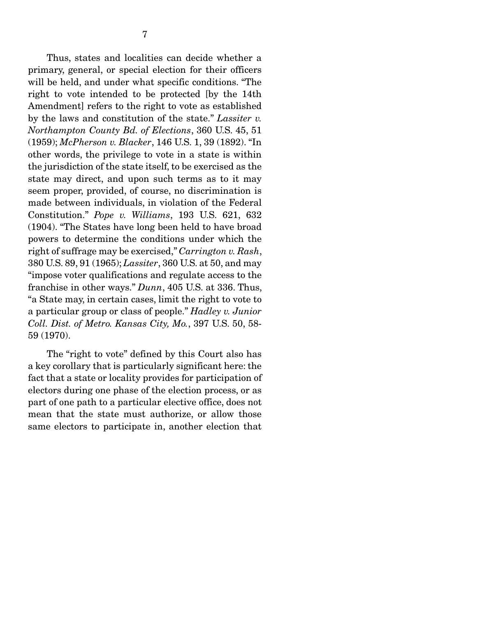Thus, states and localities can decide whether a primary, general, or special election for their officers will be held, and under what specific conditions. "The right to vote intended to be protected [by the 14th Amendment] refers to the right to vote as established by the laws and constitution of the state." *Lassiter v. Northampton County Bd. of Elections*, 360 U.S. 45, 51 (1959); *McPherson v. Blacker*, 146 U.S. 1, 39 (1892). "In other words, the privilege to vote in a state is within the jurisdiction of the state itself, to be exercised as the state may direct, and upon such terms as to it may seem proper, provided, of course, no discrimination is made between individuals, in violation of the Federal Constitution." *Pope v. Williams*, 193 U.S. 621, 632 (1904). "The States have long been held to have broad powers to determine the conditions under which the right of suffrage may be exercised," *Carrington v. Rash*, 380 U.S. 89, 91 (1965); *Lassiter*, 360 U.S. at 50, and may "impose voter qualifications and regulate access to the franchise in other ways." *Dunn*, 405 U.S. at 336. Thus, "a State may, in certain cases, limit the right to vote to a particular group or class of people." *Hadley v. Junior Coll. Dist. of Metro. Kansas City, Mo.*, 397 U.S. 50, 58- 59 (1970).

 The "right to vote" defined by this Court also has a key corollary that is particularly significant here: the fact that a state or locality provides for participation of electors during one phase of the election process, or as part of one path to a particular elective office, does not mean that the state must authorize, or allow those same electors to participate in, another election that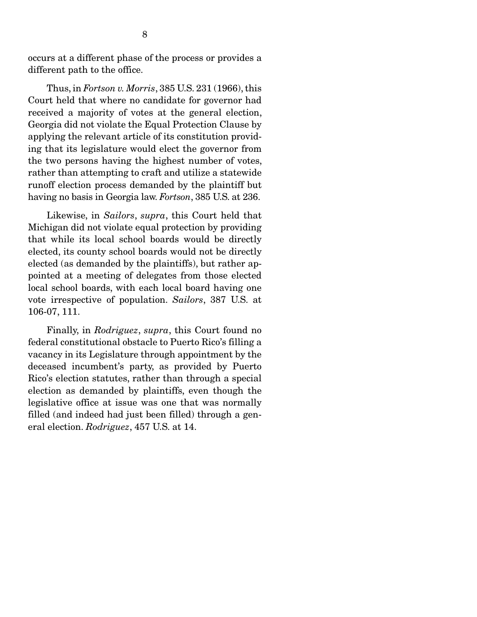occurs at a different phase of the process or provides a different path to the office.

 Thus, in *Fortson v. Morris*, 385 U.S. 231 (1966), this Court held that where no candidate for governor had received a majority of votes at the general election, Georgia did not violate the Equal Protection Clause by applying the relevant article of its constitution providing that its legislature would elect the governor from the two persons having the highest number of votes, rather than attempting to craft and utilize a statewide runoff election process demanded by the plaintiff but having no basis in Georgia law. *Fortson*, 385 U.S. at 236.

 Likewise, in *Sailors*, *supra*, this Court held that Michigan did not violate equal protection by providing that while its local school boards would be directly elected, its county school boards would not be directly elected (as demanded by the plaintiffs), but rather appointed at a meeting of delegates from those elected local school boards, with each local board having one vote irrespective of population. *Sailors*, 387 U.S. at 106-07, 111.

 Finally, in *Rodriguez*, *supra*, this Court found no federal constitutional obstacle to Puerto Rico's filling a vacancy in its Legislature through appointment by the deceased incumbent's party, as provided by Puerto Rico's election statutes, rather than through a special election as demanded by plaintiffs, even though the legislative office at issue was one that was normally filled (and indeed had just been filled) through a general election. *Rodriguez*, 457 U.S. at 14.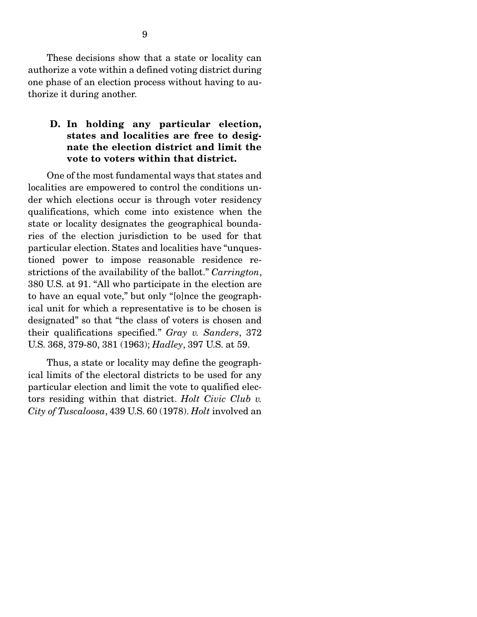These decisions show that a state or locality can authorize a vote within a defined voting district during one phase of an election process without having to authorize it during another.

### D. In holding any particular election, states and localities are free to designate the election district and limit the vote to voters within that district.

 One of the most fundamental ways that states and localities are empowered to control the conditions under which elections occur is through voter residency qualifications, which come into existence when the state or locality designates the geographical boundaries of the election jurisdiction to be used for that particular election. States and localities have "unquestioned power to impose reasonable residence restrictions of the availability of the ballot." *Carrington*, 380 U.S. at 91. "All who participate in the election are to have an equal vote," but only "[o]nce the geographical unit for which a representative is to be chosen is designated" so that "the class of voters is chosen and their qualifications specified." *Gray v. Sanders*, 372 U.S. 368, 379-80, 381 (1963); *Hadley*, 397 U.S. at 59.

 Thus, a state or locality may define the geographical limits of the electoral districts to be used for any particular election and limit the vote to qualified electors residing within that district. *Holt Civic Club v. City of Tuscaloosa*, 439 U.S. 60 (1978). *Holt* involved an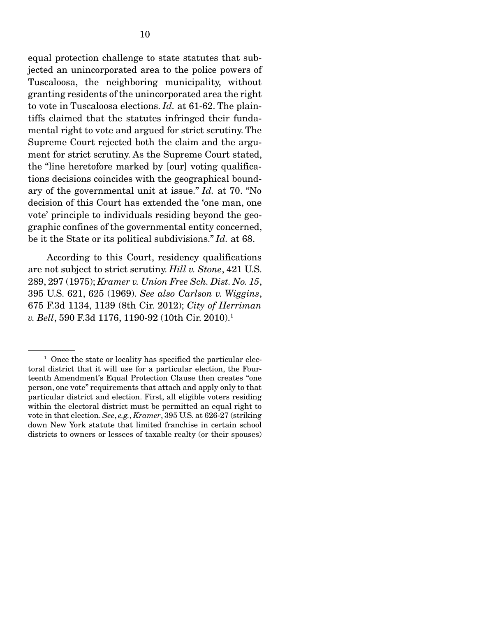equal protection challenge to state statutes that subjected an unincorporated area to the police powers of Tuscaloosa, the neighboring municipality, without granting residents of the unincorporated area the right to vote in Tuscaloosa elections. *Id.* at 61-62. The plaintiffs claimed that the statutes infringed their fundamental right to vote and argued for strict scrutiny. The Supreme Court rejected both the claim and the argument for strict scrutiny. As the Supreme Court stated, the "line heretofore marked by [our] voting qualifications decisions coincides with the geographical boundary of the governmental unit at issue." *Id.* at 70. "No decision of this Court has extended the 'one man, one vote' principle to individuals residing beyond the geographic confines of the governmental entity concerned, be it the State or its political subdivisions." *Id.* at 68.

 According to this Court, residency qualifications are not subject to strict scrutiny. *Hill v. Stone*, 421 U.S. 289, 297 (1975); *Kramer v. Union Free Sch. Dist. No. 15*, 395 U.S. 621, 625 (1969). *See also Carlson v. Wiggins*, 675 F.3d 1134, 1139 (8th Cir. 2012); *City of Herriman v. Bell*, 590 F.3d 1176, 1190-92 (10th Cir. 2010).1

<sup>&</sup>lt;sup>1</sup> Once the state or locality has specified the particular electoral district that it will use for a particular election, the Fourteenth Amendment's Equal Protection Clause then creates "one person, one vote" requirements that attach and apply only to that particular district and election. First, all eligible voters residing within the electoral district must be permitted an equal right to vote in that election. *See*, *e.g.*, *Kramer*, 395 U.S. at 626-27 (striking down New York statute that limited franchise in certain school districts to owners or lessees of taxable realty (or their spouses)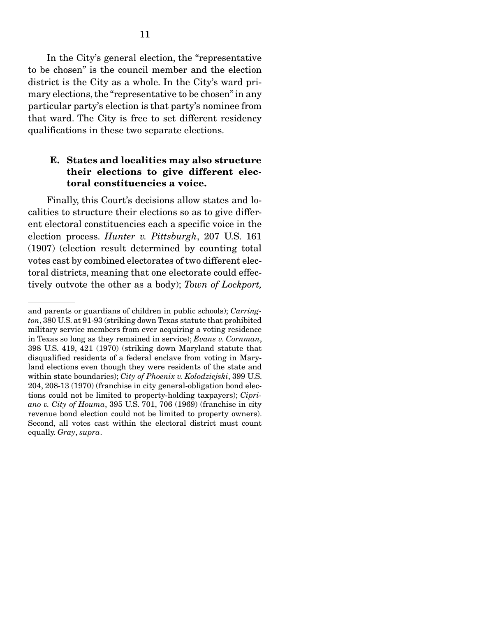In the City's general election, the "representative to be chosen" is the council member and the election district is the City as a whole. In the City's ward primary elections, the "representative to be chosen" in any particular party's election is that party's nominee from that ward. The City is free to set different residency qualifications in these two separate elections.

### E. States and localities may also structure their elections to give different electoral constituencies a voice.

 Finally, this Court's decisions allow states and localities to structure their elections so as to give different electoral constituencies each a specific voice in the election process. *Hunter v. Pittsburgh*, 207 U.S. 161 (1907) (election result determined by counting total votes cast by combined electorates of two different electoral districts, meaning that one electorate could effectively outvote the other as a body); *Town of Lockport,* 

and parents or guardians of children in public schools); *Carrington*, 380 U.S. at 91-93 (striking down Texas statute that prohibited military service members from ever acquiring a voting residence in Texas so long as they remained in service); *Evans v. Cornman*, 398 U.S. 419, 421 (1970) (striking down Maryland statute that disqualified residents of a federal enclave from voting in Maryland elections even though they were residents of the state and within state boundaries); *City of Phoenix v. Kolodziejski*, 399 U.S. 204, 208-13 (1970) (franchise in city general-obligation bond elections could not be limited to property-holding taxpayers); *Cipriano v. City of Houma*, 395 U.S. 701, 706 (1969) (franchise in city revenue bond election could not be limited to property owners). Second, all votes cast within the electoral district must count equally. *Gray*, *supra*.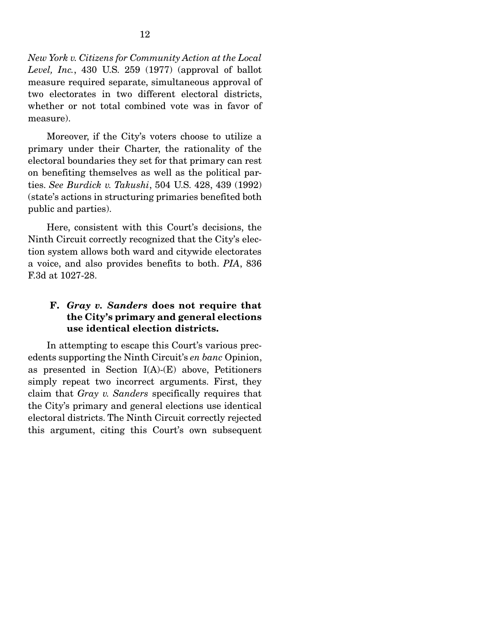*New York v. Citizens for Community Action at the Local Level, Inc.*, 430 U.S. 259 (1977) (approval of ballot measure required separate, simultaneous approval of two electorates in two different electoral districts, whether or not total combined vote was in favor of measure).

 Moreover, if the City's voters choose to utilize a primary under their Charter, the rationality of the electoral boundaries they set for that primary can rest on benefiting themselves as well as the political parties. *See Burdick v. Takushi*, 504 U.S. 428, 439 (1992) (state's actions in structuring primaries benefited both public and parties).

 Here, consistent with this Court's decisions, the Ninth Circuit correctly recognized that the City's election system allows both ward and citywide electorates a voice, and also provides benefits to both. *PIA*, 836 F.3d at 1027-28.

## F. *Gray v. Sanders* does not require that the City's primary and general elections use identical election districts.

 In attempting to escape this Court's various precedents supporting the Ninth Circuit's *en banc* Opinion, as presented in Section  $I(A)$ - $(E)$  above, Petitioners simply repeat two incorrect arguments. First, they claim that *Gray v. Sanders* specifically requires that the City's primary and general elections use identical electoral districts. The Ninth Circuit correctly rejected this argument, citing this Court's own subsequent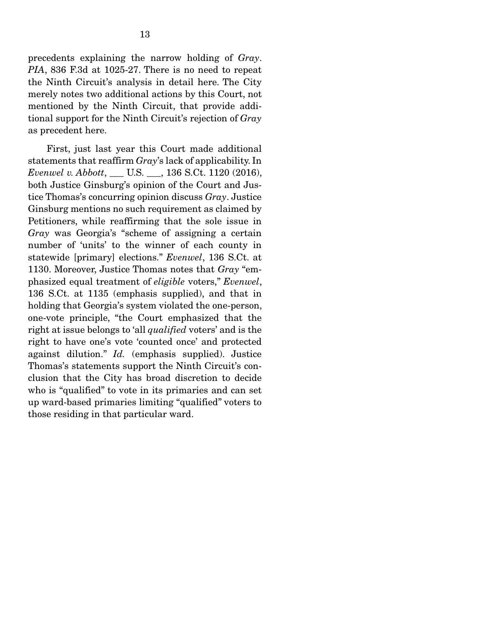precedents explaining the narrow holding of *Gray*. *PIA*, 836 F.3d at 1025-27. There is no need to repeat the Ninth Circuit's analysis in detail here. The City merely notes two additional actions by this Court, not mentioned by the Ninth Circuit, that provide additional support for the Ninth Circuit's rejection of *Gray* as precedent here.

 First, just last year this Court made additional statements that reaffirm *Gray*'s lack of applicability. In *Evenwel v. Abbott*, \_\_\_ U.S. \_\_\_, 136 S.Ct. 1120 (2016), both Justice Ginsburg's opinion of the Court and Justice Thomas's concurring opinion discuss *Gray*. Justice Ginsburg mentions no such requirement as claimed by Petitioners, while reaffirming that the sole issue in *Gray* was Georgia's "scheme of assigning a certain number of 'units' to the winner of each county in statewide [primary] elections." *Evenwel*, 136 S.Ct. at 1130. Moreover, Justice Thomas notes that *Gray* "emphasized equal treatment of *eligible* voters," *Evenwel*, 136 S.Ct. at 1135 (emphasis supplied), and that in holding that Georgia's system violated the one-person, one-vote principle, "the Court emphasized that the right at issue belongs to 'all *qualified* voters' and is the right to have one's vote 'counted once' and protected against dilution." *Id.* (emphasis supplied). Justice Thomas's statements support the Ninth Circuit's conclusion that the City has broad discretion to decide who is "qualified" to vote in its primaries and can set up ward-based primaries limiting "qualified" voters to those residing in that particular ward.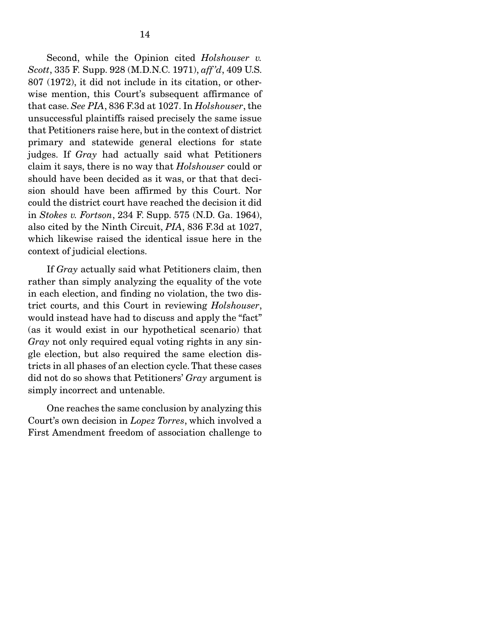Second, while the Opinion cited *Holshouser v. Scott*, 335 F. Supp. 928 (M.D.N.C. 1971), *aff 'd*, 409 U.S. 807 (1972), it did not include in its citation, or otherwise mention, this Court's subsequent affirmance of that case. *See PIA*, 836 F.3d at 1027. In *Holshouser*, the unsuccessful plaintiffs raised precisely the same issue that Petitioners raise here, but in the context of district primary and statewide general elections for state judges. If *Gray* had actually said what Petitioners claim it says, there is no way that *Holshouser* could or should have been decided as it was, or that that decision should have been affirmed by this Court. Nor could the district court have reached the decision it did in *Stokes v. Fortson*, 234 F. Supp. 575 (N.D. Ga. 1964), also cited by the Ninth Circuit, *PIA*, 836 F.3d at 1027, which likewise raised the identical issue here in the context of judicial elections.

 If *Gray* actually said what Petitioners claim, then rather than simply analyzing the equality of the vote in each election, and finding no violation, the two district courts, and this Court in reviewing *Holshouser*, would instead have had to discuss and apply the "fact" (as it would exist in our hypothetical scenario) that *Gray* not only required equal voting rights in any single election, but also required the same election districts in all phases of an election cycle. That these cases did not do so shows that Petitioners' *Gray* argument is simply incorrect and untenable.

 One reaches the same conclusion by analyzing this Court's own decision in *Lopez Torres*, which involved a First Amendment freedom of association challenge to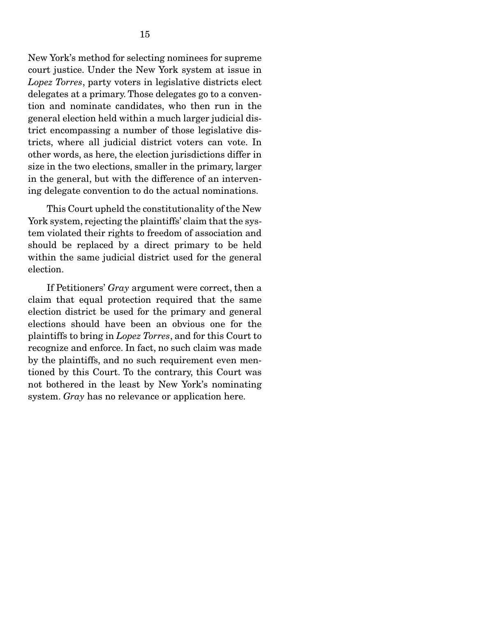New York's method for selecting nominees for supreme court justice. Under the New York system at issue in *Lopez Torres*, party voters in legislative districts elect delegates at a primary. Those delegates go to a convention and nominate candidates, who then run in the general election held within a much larger judicial district encompassing a number of those legislative districts, where all judicial district voters can vote. In other words, as here, the election jurisdictions differ in size in the two elections, smaller in the primary, larger in the general, but with the difference of an intervening delegate convention to do the actual nominations.

 This Court upheld the constitutionality of the New York system, rejecting the plaintiffs' claim that the system violated their rights to freedom of association and should be replaced by a direct primary to be held within the same judicial district used for the general election.

 If Petitioners' *Gray* argument were correct, then a claim that equal protection required that the same election district be used for the primary and general elections should have been an obvious one for the plaintiffs to bring in *Lopez Torres*, and for this Court to recognize and enforce. In fact, no such claim was made by the plaintiffs, and no such requirement even mentioned by this Court. To the contrary, this Court was not bothered in the least by New York's nominating system. *Gray* has no relevance or application here.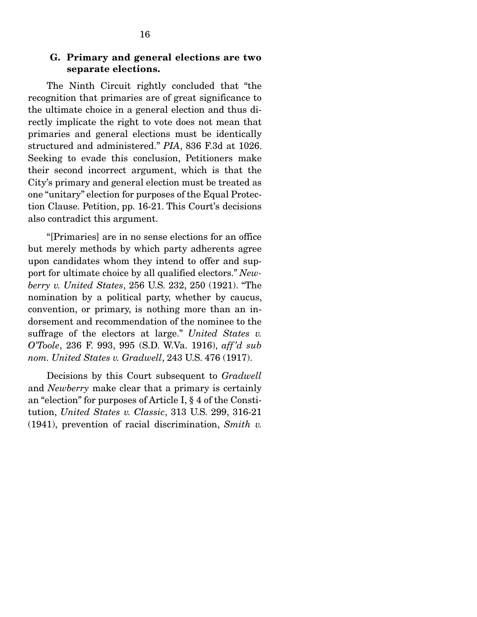#### G. Primary and general elections are two separate elections.

 The Ninth Circuit rightly concluded that "the recognition that primaries are of great significance to the ultimate choice in a general election and thus directly implicate the right to vote does not mean that primaries and general elections must be identically structured and administered." *PIA*, 836 F.3d at 1026. Seeking to evade this conclusion, Petitioners make their second incorrect argument, which is that the City's primary and general election must be treated as one "unitary" election for purposes of the Equal Protection Clause. Petition, pp. 16-21. This Court's decisions also contradict this argument.

 "[Primaries] are in no sense elections for an office but merely methods by which party adherents agree upon candidates whom they intend to offer and support for ultimate choice by all qualified electors." *Newberry v. United States*, 256 U.S. 232, 250 (1921). "The nomination by a political party, whether by caucus, convention, or primary, is nothing more than an indorsement and recommendation of the nominee to the suffrage of the electors at large." *United States v. O'Toole*, 236 F. 993, 995 (S.D. W.Va. 1916), *aff 'd sub nom. United States v. Gradwell*, 243 U.S. 476 (1917).

 Decisions by this Court subsequent to *Gradwell* and *Newberry* make clear that a primary is certainly an "election" for purposes of Article I, § 4 of the Constitution, *United States v. Classic*, 313 U.S. 299, 316-21 (1941), prevention of racial discrimination, *Smith v.*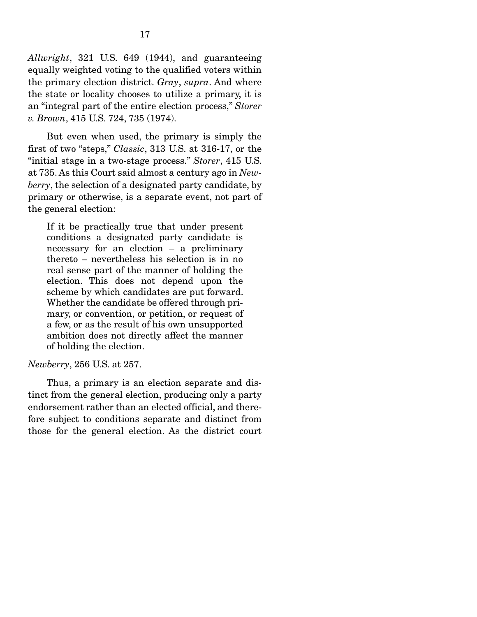*Allwright*, 321 U.S. 649 (1944), and guaranteeing equally weighted voting to the qualified voters within the primary election district. *Gray*, *supra*. And where the state or locality chooses to utilize a primary, it is an "integral part of the entire election process," *Storer v. Brown*, 415 U.S. 724, 735 (1974).

 But even when used, the primary is simply the first of two "steps," *Classic*, 313 U.S. at 316-17, or the "initial stage in a two-stage process." *Storer*, 415 U.S. at 735. As this Court said almost a century ago in *Newberry*, the selection of a designated party candidate, by primary or otherwise, is a separate event, not part of the general election:

If it be practically true that under present conditions a designated party candidate is necessary for an election – a preliminary thereto – nevertheless his selection is in no real sense part of the manner of holding the election. This does not depend upon the scheme by which candidates are put forward. Whether the candidate be offered through primary, or convention, or petition, or request of a few, or as the result of his own unsupported ambition does not directly affect the manner of holding the election.

#### *Newberry*, 256 U.S. at 257.

 Thus, a primary is an election separate and distinct from the general election, producing only a party endorsement rather than an elected official, and therefore subject to conditions separate and distinct from those for the general election. As the district court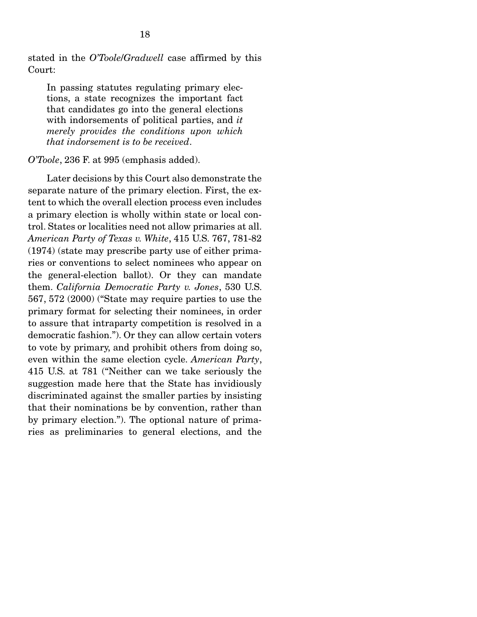stated in the *O'Toole*/*Gradwell* case affirmed by this Court:

In passing statutes regulating primary elections, a state recognizes the important fact that candidates go into the general elections with indorsements of political parties, and *it merely provides the conditions upon which that indorsement is to be received*.

### *O'Toole*, 236 F. at 995 (emphasis added).

 Later decisions by this Court also demonstrate the separate nature of the primary election. First, the extent to which the overall election process even includes a primary election is wholly within state or local control. States or localities need not allow primaries at all. *American Party of Texas v. White*, 415 U.S. 767, 781-82 (1974) (state may prescribe party use of either primaries or conventions to select nominees who appear on the general-election ballot). Or they can mandate them. *California Democratic Party v. Jones*, 530 U.S. 567, 572 (2000) ("State may require parties to use the primary format for selecting their nominees, in order to assure that intraparty competition is resolved in a democratic fashion."). Or they can allow certain voters to vote by primary, and prohibit others from doing so, even within the same election cycle. *American Party*, 415 U.S. at 781 ("Neither can we take seriously the suggestion made here that the State has invidiously discriminated against the smaller parties by insisting that their nominations be by convention, rather than by primary election."). The optional nature of primaries as preliminaries to general elections, and the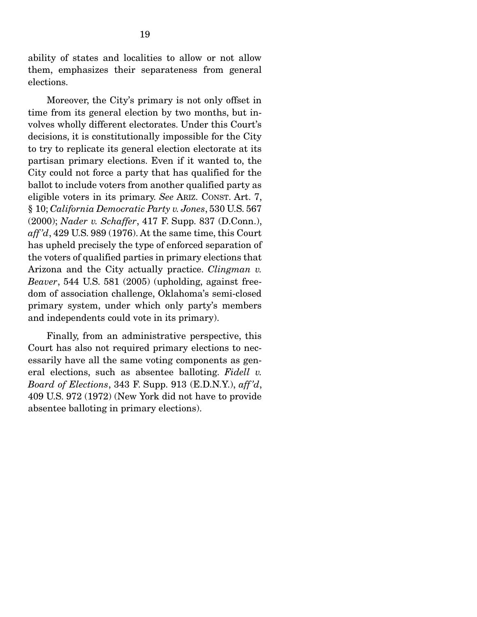ability of states and localities to allow or not allow them, emphasizes their separateness from general elections.

 Moreover, the City's primary is not only offset in time from its general election by two months, but involves wholly different electorates. Under this Court's decisions, it is constitutionally impossible for the City to try to replicate its general election electorate at its partisan primary elections. Even if it wanted to, the City could not force a party that has qualified for the ballot to include voters from another qualified party as eligible voters in its primary. *See* ARIZ. CONST. Art. 7, § 10; *California Democratic Party v. Jones*, 530 U.S. 567 (2000); *Nader v. Schaffer*, 417 F. Supp. 837 (D.Conn.), *aff 'd*, 429 U.S. 989 (1976). At the same time, this Court has upheld precisely the type of enforced separation of the voters of qualified parties in primary elections that Arizona and the City actually practice. *Clingman v. Beaver*, 544 U.S. 581 (2005) (upholding, against freedom of association challenge, Oklahoma's semi-closed primary system, under which only party's members and independents could vote in its primary).

 Finally, from an administrative perspective, this Court has also not required primary elections to necessarily have all the same voting components as general elections, such as absentee balloting. *Fidell v. Board of Elections*, 343 F. Supp. 913 (E.D.N.Y.), *aff 'd*, 409 U.S. 972 (1972) (New York did not have to provide absentee balloting in primary elections).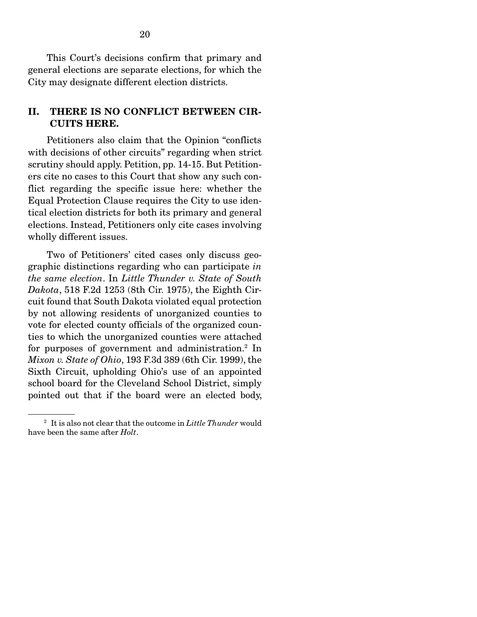This Court's decisions confirm that primary and general elections are separate elections, for which the City may designate different election districts.

### II. THERE IS NO CONFLICT BETWEEN CIR-CUITS HERE.

 Petitioners also claim that the Opinion "conflicts with decisions of other circuits" regarding when strict scrutiny should apply. Petition, pp. 14-15. But Petitioners cite no cases to this Court that show any such conflict regarding the specific issue here: whether the Equal Protection Clause requires the City to use identical election districts for both its primary and general elections. Instead, Petitioners only cite cases involving wholly different issues.

 Two of Petitioners' cited cases only discuss geographic distinctions regarding who can participate *in the same election*. In *Little Thunder v. State of South Dakota*, 518 F.2d 1253 (8th Cir. 1975), the Eighth Circuit found that South Dakota violated equal protection by not allowing residents of unorganized counties to vote for elected county officials of the organized counties to which the unorganized counties were attached for purposes of government and administration.<sup>2</sup> In *Mixon v. State of Ohio*, 193 F.3d 389 (6th Cir. 1999), the Sixth Circuit, upholding Ohio's use of an appointed school board for the Cleveland School District, simply pointed out that if the board were an elected body,

<sup>2</sup> It is also not clear that the outcome in *Little Thunder* would have been the same after *Holt*.